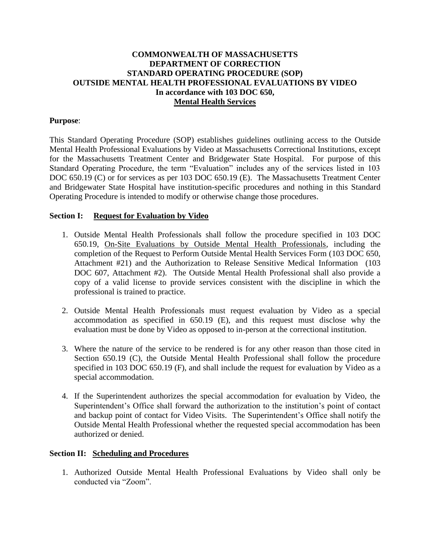# **COMMONWEALTH OF MASSACHUSETTS DEPARTMENT OF CORRECTION STANDARD OPERATING PROCEDURE (SOP) OUTSIDE MENTAL HEALTH PROFESSIONAL EVALUATIONS BY VIDEO In accordance with 103 DOC 650, Mental Health Services**

## **Purpose**:

This Standard Operating Procedure (SOP) establishes guidelines outlining access to the Outside Mental Health Professional Evaluations by Video at Massachusetts Correctional Institutions, except for the Massachusetts Treatment Center and Bridgewater State Hospital. For purpose of this Standard Operating Procedure, the term "Evaluation" includes any of the services listed in 103 DOC 650.19 (C) or for services as per 103 DOC 650.19 (E). The Massachusetts Treatment Center and Bridgewater State Hospital have institution-specific procedures and nothing in this Standard Operating Procedure is intended to modify or otherwise change those procedures.

#### **Section I: Request for Evaluation by Video**

- 1. Outside Mental Health Professionals shall follow the procedure specified in 103 DOC 650.19, On-Site Evaluations by Outside Mental Health Professionals, including the completion of the Request to Perform Outside Mental Health Services Form (103 DOC 650, Attachment #21) and the Authorization to Release Sensitive Medical Information (103 DOC 607, Attachment #2). The Outside Mental Health Professional shall also provide a copy of a valid license to provide services consistent with the discipline in which the professional is trained to practice.
- 2. Outside Mental Health Professionals must request evaluation by Video as a special accommodation as specified in 650.19 (E), and this request must disclose why the evaluation must be done by Video as opposed to in-person at the correctional institution.
- 3. Where the nature of the service to be rendered is for any other reason than those cited in Section 650.19 (C), the Outside Mental Health Professional shall follow the procedure specified in 103 DOC 650.19 (F), and shall include the request for evaluation by Video as a special accommodation.
- 4. If the Superintendent authorizes the special accommodation for evaluation by Video, the Superintendent's Office shall forward the authorization to the institution's point of contact and backup point of contact for Video Visits. The Superintendent's Office shall notify the Outside Mental Health Professional whether the requested special accommodation has been authorized or denied.

## **Section II: Scheduling and Procedures**

1. Authorized Outside Mental Health Professional Evaluations by Video shall only be conducted via "Zoom".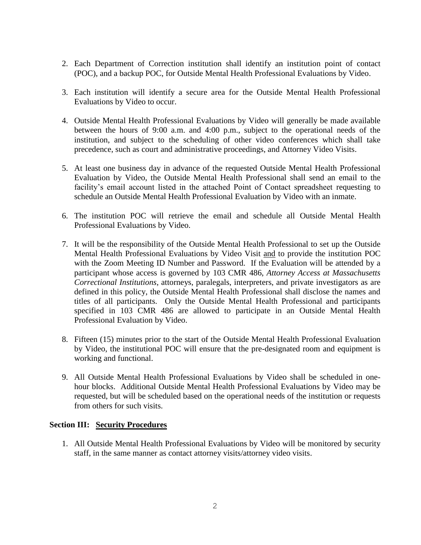- 2. Each Department of Correction institution shall identify an institution point of contact (POC), and a backup POC, for Outside Mental Health Professional Evaluations by Video.
- 3. Each institution will identify a secure area for the Outside Mental Health Professional Evaluations by Video to occur.
- 4. Outside Mental Health Professional Evaluations by Video will generally be made available between the hours of 9:00 a.m. and 4:00 p.m., subject to the operational needs of the institution, and subject to the scheduling of other video conferences which shall take precedence, such as court and administrative proceedings, and Attorney Video Visits.
- 5. At least one business day in advance of the requested Outside Mental Health Professional Evaluation by Video, the Outside Mental Health Professional shall send an email to the facility's email account listed in the attached Point of Contact spreadsheet requesting to schedule an Outside Mental Health Professional Evaluation by Video with an inmate.
- 6. The institution POC will retrieve the email and schedule all Outside Mental Health Professional Evaluations by Video.
- 7. It will be the responsibility of the Outside Mental Health Professional to set up the Outside Mental Health Professional Evaluations by Video Visit and to provide the institution POC with the Zoom Meeting ID Number and Password. If the Evaluation will be attended by a participant whose access is governed by 103 CMR 486, *Attorney Access at Massachusetts Correctional Institutions*, attorneys, paralegals, interpreters, and private investigators as are defined in this policy, the Outside Mental Health Professional shall disclose the names and titles of all participants. Only the Outside Mental Health Professional and participants specified in 103 CMR 486 are allowed to participate in an Outside Mental Health Professional Evaluation by Video.
- 8. Fifteen (15) minutes prior to the start of the Outside Mental Health Professional Evaluation by Video, the institutional POC will ensure that the pre-designated room and equipment is working and functional.
- 9. All Outside Mental Health Professional Evaluations by Video shall be scheduled in onehour blocks. Additional Outside Mental Health Professional Evaluations by Video may be requested, but will be scheduled based on the operational needs of the institution or requests from others for such visits.

## **Section III: Security Procedures**

1. All Outside Mental Health Professional Evaluations by Video will be monitored by security staff, in the same manner as contact attorney visits/attorney video visits.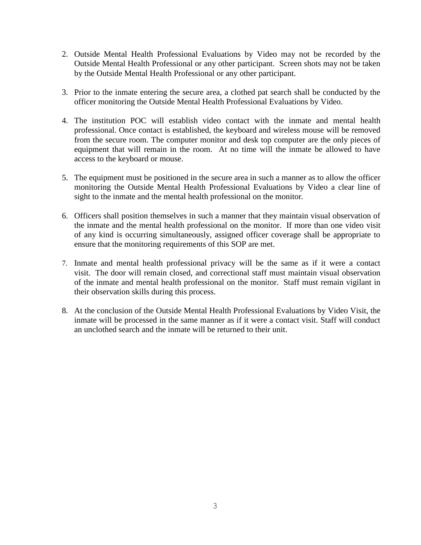- 2. Outside Mental Health Professional Evaluations by Video may not be recorded by the Outside Mental Health Professional or any other participant. Screen shots may not be taken by the Outside Mental Health Professional or any other participant.
- 3. Prior to the inmate entering the secure area, a clothed pat search shall be conducted by the officer monitoring the Outside Mental Health Professional Evaluations by Video.
- 4. The institution POC will establish video contact with the inmate and mental health professional. Once contact is established, the keyboard and wireless mouse will be removed from the secure room. The computer monitor and desk top computer are the only pieces of equipment that will remain in the room. At no time will the inmate be allowed to have access to the keyboard or mouse.
- 5. The equipment must be positioned in the secure area in such a manner as to allow the officer monitoring the Outside Mental Health Professional Evaluations by Video a clear line of sight to the inmate and the mental health professional on the monitor*.*
- 6. Officers shall position themselves in such a manner that they maintain visual observation of the inmate and the mental health professional on the monitor. If more than one video visit of any kind is occurring simultaneously, assigned officer coverage shall be appropriate to ensure that the monitoring requirements of this SOP are met.
- 7. Inmate and mental health professional privacy will be the same as if it were a contact visit. The door will remain closed, and correctional staff must maintain visual observation of the inmate and mental health professional on the monitor. Staff must remain vigilant in their observation skills during this process.
- 8. At the conclusion of the Outside Mental Health Professional Evaluations by Video Visit, the inmate will be processed in the same manner as if it were a contact visit. Staff will conduct an unclothed search and the inmate will be returned to their unit.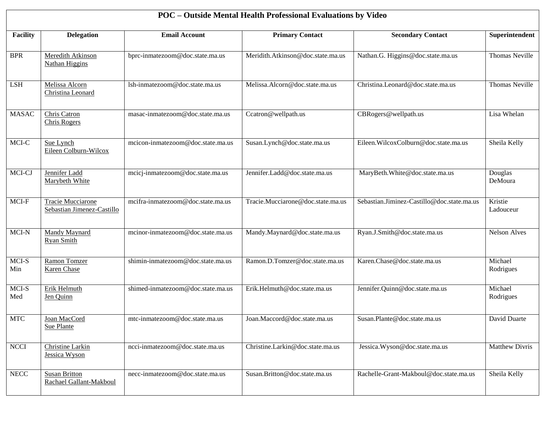| POC - Outside Mental Health Professional Evaluations by Video |                                                 |                                   |                                   |                                            |                       |  |  |  |  |
|---------------------------------------------------------------|-------------------------------------------------|-----------------------------------|-----------------------------------|--------------------------------------------|-----------------------|--|--|--|--|
| <b>Facility</b>                                               | <b>Delegation</b>                               | <b>Email Account</b>              | <b>Primary Contact</b>            | <b>Secondary Contact</b>                   | Superintendent        |  |  |  |  |
| <b>BPR</b>                                                    | Meredith Atkinson<br><b>Nathan Higgins</b>      | bprc-inmatezoom@doc.state.ma.us   | Meridith.Atkinson@doc.state.ma.us | Nathan.G. Higgins@doc.state.ma.us          | <b>Thomas Neville</b> |  |  |  |  |
| <b>LSH</b>                                                    | Melissa Alcorn<br>Christina Leonard             | lsh-inmatezoom@doc.state.ma.us    | Melissa.Alcorn@doc.state.ma.us    | Christina.Leonard@doc.state.ma.us          | <b>Thomas Neville</b> |  |  |  |  |
| <b>MASAC</b>                                                  | Chris Catron<br><b>Chris Rogers</b>             | masac-inmatezoom@doc.state.ma.us  | Ccatron@wellpath.us               | CBRogers@wellpath.us                       | Lisa Whelan           |  |  |  |  |
| MCI-C                                                         | Sue Lynch<br>Eileen Colburn-Wilcox              | mcicon-inmatezoom@doc.state.ma.us | Susan.Lynch@doc.state.ma.us       | Eileen.WilcoxColburn@doc.state.ma.us       | Sheila Kelly          |  |  |  |  |
| MCI-CJ                                                        | Jennifer Ladd<br>Marybeth White                 | mcicj-inmatezoom@doc.state.ma.us  | Jennifer.Ladd@doc.state.ma.us     | MaryBeth.White@doc.state.ma.us             | Douglas<br>DeMoura    |  |  |  |  |
| MCI-F                                                         | Tracie Mucciarone<br>Sebastian Jimenez-Castillo | mcifra-inmatezoom@doc.state.ma.us | Tracie.Mucciarone@doc.state.ma.us | Sebastian.Jiminez-Castillo@doc.state.ma.us | Kristie<br>Ladouceur  |  |  |  |  |
| $MCI-N$                                                       | Mandy Maynard<br><b>Ryan Smith</b>              | mcinor-inmatezoom@doc.state.ma.us | Mandy.Maynard@doc.state.ma.us     | Ryan.J.Smith@doc.state.ma.us               | <b>Nelson Alves</b>   |  |  |  |  |
| MCI-S<br>Min                                                  | Ramon Tomzer<br><b>Karen</b> Chase              | shimin-inmatezoom@doc.state.ma.us | Ramon.D.Tomzer@doc.state.ma.us    | Karen.Chase@doc.state.ma.us                | Michael<br>Rodrigues  |  |  |  |  |
| MCI-S<br>Med                                                  | Erik Helmuth<br>Jen Quinn                       | shimed-inmatezoom@doc.state.ma.us | Erik.Helmuth@doc.state.ma.us      | Jennifer.Quinn@doc.state.ma.us             | Michael<br>Rodrigues  |  |  |  |  |
| MTC                                                           | Joan MacCord<br>Sue Plante                      | mtc-inmatezoom@doc.state.ma.us    | Joan.Maccord@doc.state.ma.us      | Susan.Plante@doc.state.ma.us               | David Duarte          |  |  |  |  |
| <b>NCCI</b>                                                   | <b>Christine Larkin</b><br>Jessica Wyson        | ncci-inmatezoom@doc.state.ma.us   | Christine.Larkin@doc.state.ma.us  | Jessica.Wyson@doc.state.ma.us              | <b>Matthew Divris</b> |  |  |  |  |
| <b>NECC</b>                                                   | <b>Susan Britton</b><br>Rachael Gallant-Makboul | necc-inmatezoom@doc.state.ma.us   | Susan.Britton@doc.state.ma.us     | Rachelle-Grant-Makboul@doc.state.ma.us     | Sheila Kelly          |  |  |  |  |

 $\overline{\phantom{a}}$